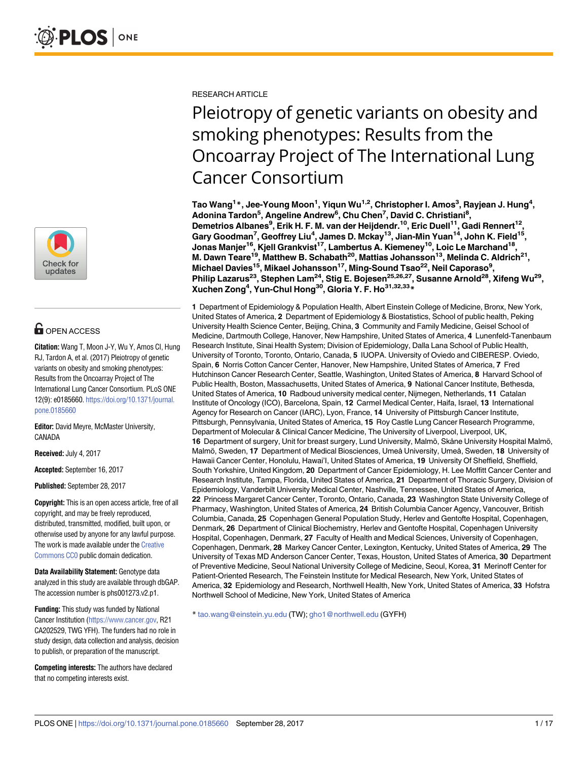

## **O** OPEN ACCESS

**Citation:** Wang T, Moon J-Y, Wu Y, Amos CI, Hung RJ, Tardon A, et al. (2017) Pleiotropy of genetic variants on obesity and smoking phenotypes: Results from the Oncoarray Project of The International Lung Cancer Consortium. PLoS ONE 12(9): e0185660. [https://doi.org/10.1371/journal.](https://doi.org/10.1371/journal.pone.0185660) [pone.0185660](https://doi.org/10.1371/journal.pone.0185660)

**Editor:** David Meyre, McMaster University, CANADA

**Received:** July 4, 2017

**Accepted:** September 16, 2017

**Published:** September 28, 2017

**Copyright:** This is an open access article, free of all copyright, and may be freely reproduced, distributed, transmitted, modified, built upon, or otherwise used by anyone for any lawful purpose. The work is made available under the [Creative](https://creativecommons.org/publicdomain/zero/1.0/) [Commons](https://creativecommons.org/publicdomain/zero/1.0/) CC0 public domain dedication.

**Data Availability Statement:** Genotype data analyzed in this study are available through dbGAP. The accession number is phs001273.v2.p1.

**Funding:** This study was funded by National Cancer Institution [\(https://www.cancer.gov,](https://www.cancer.gov) R21 CA202529, TWG YFH). The funders had no role in study design, data collection and analysis, decision to publish, or preparation of the manuscript.

**Competing interests:** The authors have declared that no competing interests exist.

RESEARCH ARTICLE

# Pleiotropy of genetic variants on obesity and smoking phenotypes: Results from the Oncoarray Project of The International Lung Cancer Consortium

 $\mathbf{a} = \mathbf{a}$  **Tao** Wang<sup>1</sup>, Jee-Young Moon<sup>1</sup>, Yiqun Wu<sup>1,2</sup>, Christopher I. Amos<sup>3</sup>, Rayjean J. Hung<sup>4</sup>, **Adonina Tardon5 , Angeline Andrew6 , Chu Chen7 , David C. Christiani8 , Demetrios Albanes9 , Erik H. F. M. van der Heijdendr.10, Eric Duell11, Gadi Rennert12, Gary Goodman7 , Geoffrey Liu4 , James D. Mckay13, Jian-Min Yuan14, John K. Field15, Jonas Manjer16, Kjell Grankvist17, Lambertus A. Kiemeney10, Loic Le Marchand18, M. Dawn Teare19, Matthew B. Schabath20, Mattias Johansson13, Melinda C. Aldrich21,**  $\blacksquare$ Michael Davies $^{15}$ , Mikael Johansson $^{17}$ , Ming-Sound Tsao $^{22}$ , Neil Caporaso $^{9}$ , **Philip Lazarus23, Stephen Lam24, Stig E. Bojesen25,26,27, Susanne Arnold28, Xifeng Wu29, Xuchen Zong4 , Yun-Chul Hong30, Gloria Y. F. Ho31,32,33\***

**1** Department of Epidemiology & Population Health, Albert Einstein College of Medicine, Bronx, New York, United States of America, **2** Department of Epidemiology & Biostatistics, School of public health, Peking University Health Science Center, Beijing, China, **3** Community and Family Medicine, Geisel School of Medicine, Dartmouth College, Hanover, New Hampshire, United States of America, **4** Lunenfeld-Tanenbaum Research Institute, Sinai Health System; Division of Epidemiology, Dalla Lana School of Public Health, University of Toronto, Toronto, Ontario, Canada, **5** IUOPA. University of Oviedo and CIBERESP. Oviedo, Spain, **6** Norris Cotton Cancer Center, Hanover, New Hampshire, United States of America, **7** Fred Hutchinson Cancer Research Center, Seattle, Washington, United States of America, **8** Harvard School of Public Health, Boston, Massachusetts, United States of America, **9** National Cancer Institute, Bethesda, United States of America, **10** Radboud university medical center, Nijmegen, Netherlands, **11** Catalan Institute of Oncology (ICO), Barcelona, Spain, **12** Carmel Medical Center, Haifa, Israel, **13** International Agency for Research on Cancer (IARC), Lyon, France, **14** University of Pittsburgh Cancer Institute, Pittsburgh, Pennsylvania, United States of America, **15** Roy Castle Lung Cancer Research Programme, Department of Molecular & Clinical Cancer Medicine, The University of Liverpool, Liverpool, UK, 16 Department of surgery, Unit for breast surgery, Lund University, Malmö, Skåne University Hospital Malmö, Malmo¨, Sweden, **17** Department of Medical Biosciences, Umeå University, Umeå, Sweden, **18** University of Hawaii Cancer Center, Honolulu, Hawai'I, United States of America, **19** University Of Sheffield, Sheffield, South Yorkshire, United Kingdom, **20** Department of Cancer Epidemiology, H. Lee Moffitt Cancer Center and Research Institute, Tampa, Florida, United States of America, **21** Department of Thoracic Surgery, Division of Epidemiology, Vanderbilt University Medical Center, Nashville, Tennessee, United States of America, **22** Princess Margaret Cancer Center, Toronto, Ontario, Canada, **23** Washington State University College of Pharmacy, Washington, United States of America, **24** British Columbia Cancer Agency, Vancouver, British Columbia, Canada, **25** Copenhagen General Population Study, Herlev and Gentofte Hospital, Copenhagen, Denmark, **26** Department of Clinical Biochemistry, Herlev and Gentofte Hospital, Copenhagen University Hospital, Copenhagen, Denmark, **27** Faculty of Health and Medical Sciences, University of Copenhagen, Copenhagen, Denmark, **28** Markey Cancer Center, Lexington, Kentucky, United States of America, **29** The University of Texas MD Anderson Cancer Center, Texas, Houston, United States of America, **30** Department of Preventive Medicine, Seoul National University College of Medicine, Seoul, Korea, **31** Merinoff Center for Patient-Oriented Research, The Feinstein Institute for Medical Research, New York, United States of America, **32** Epidemiology and Research, Northwell Health, New York, United States of America, **33** Hofstra Northwell School of Medicine, New York, United States of America

\* tao.wang@einstein.yu.edu (TW); gho1@northwell.edu (GYFH)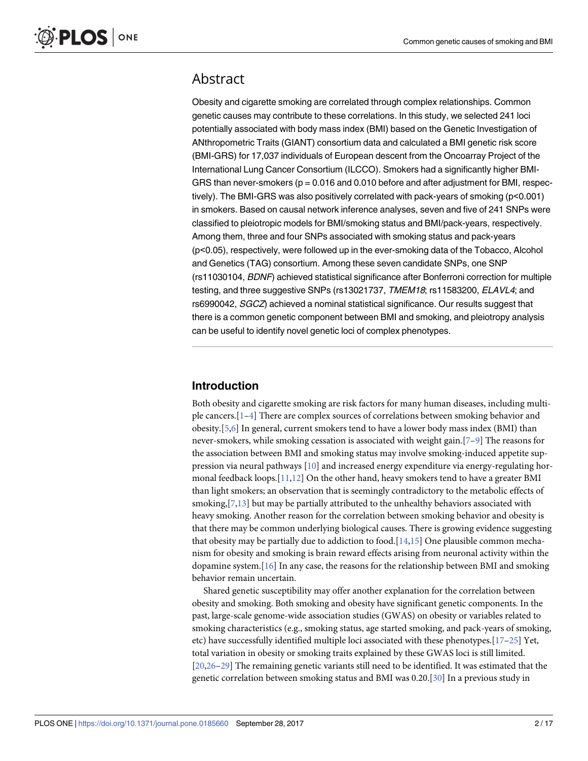## <span id="page-1-0"></span>Abstract

Obesity and cigarette smoking are correlated through complex relationships. Common genetic causes may contribute to these correlations. In this study, we selected 241 loci potentially associated with body mass index (BMI) based on the Genetic Investigation of ANthropometric Traits (GIANT) consortium data and calculated a BMI genetic risk score (BMI-GRS) for 17,037 individuals of European descent from the Oncoarray Project of the International Lung Cancer Consortium (ILCCO). Smokers had a significantly higher BMI-GRS than never-smokers ( $p = 0.016$  and 0.010 before and after adjustment for BMI, respectively). The BMI-GRS was also positively correlated with pack-years of smoking (p<0.001) in smokers. Based on causal network inference analyses, seven and five of 241 SNPs were classified to pleiotropic models for BMI/smoking status and BMI/pack-years, respectively. Among them, three and four SNPs associated with smoking status and pack-years (p<0.05), respectively, were followed up in the ever-smoking data of the Tobacco, Alcohol and Genetics (TAG) consortium. Among these seven candidate SNPs, one SNP (rs11030104, BDNF) achieved statistical significance after Bonferroni correction for multiple testing, and three suggestive SNPs (rs13021737, TMEM18; rs11583200, ELAVL4; and rs6990042, SGCZ) achieved a nominal statistical significance. Our results suggest that there is a common genetic component between BMI and smoking, and pleiotropy analysis can be useful to identify novel genetic loci of complex phenotypes.

## **Introduction**

Both obesity and cigarette smoking are risk factors for many human diseases, including multiple cancers.[[1–4](#page-14-0)] There are complex sources of correlations between smoking behavior and obesity.[[5,6\]](#page-14-0) In general, current smokers tend to have a lower body mass index (BMI) than never-smokers, while smoking cessation is associated with weight gain.[\[7–9\]](#page-14-0) The reasons for the association between BMI and smoking status may involve smoking-induced appetite suppression via neural pathways [\[10](#page-14-0)] and increased energy expenditure via energy-regulating hormonal feedback loops.[\[11,12\]](#page-14-0) On the other hand, heavy smokers tend to have a greater BMI than light smokers; an observation that is seemingly contradictory to the metabolic effects of smoking,[\[7,13\]](#page-14-0) but may be partially attributed to the unhealthy behaviors associated with heavy smoking. Another reason for the correlation between smoking behavior and obesity is that there may be common underlying biological causes. There is growing evidence suggesting that obesity may be partially due to addiction to food.[[14,15\]](#page-14-0) One plausible common mechanism for obesity and smoking is brain reward effects arising from neuronal activity within the dopamine system.[\[16\]](#page-14-0) In any case, the reasons for the relationship between BMI and smoking behavior remain uncertain.

Shared genetic susceptibility may offer another explanation for the correlation between obesity and smoking. Both smoking and obesity have significant genetic components. In the past, large-scale genome-wide association studies (GWAS) on obesity or variables related to smoking characteristics (e.g., smoking status, age started smoking, and pack-years of smoking, etc) have successfully identified multiple loci associated with these phenotypes.  $[17-25]$  $[17-25]$  $[17-25]$  Yet, total variation in obesity or smoking traits explained by these GWAS loci is still limited. [\[20](#page-14-0)[,26–29](#page-15-0)] The remaining genetic variants still need to be identified. It was estimated that the genetic correlation between smoking status and BMI was 0.20.[[30](#page-15-0)] In a previous study in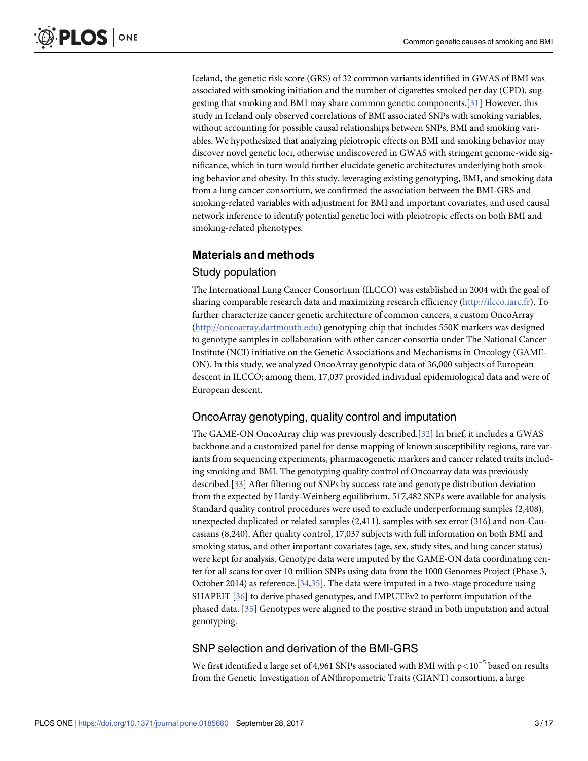<span id="page-2-0"></span>Iceland, the genetic risk score (GRS) of 32 common variants identified in GWAS of BMI was associated with smoking initiation and the number of cigarettes smoked per day (CPD), suggesting that smoking and BMI may share common genetic components.[[31](#page-15-0)] However, this study in Iceland only observed correlations of BMI associated SNPs with smoking variables, without accounting for possible causal relationships between SNPs, BMI and smoking variables. We hypothesized that analyzing pleiotropic effects on BMI and smoking behavior may discover novel genetic loci, otherwise undiscovered in GWAS with stringent genome-wide significance, which in turn would further elucidate genetic architectures underlying both smoking behavior and obesity. In this study, leveraging existing genotyping, BMI, and smoking data from a lung cancer consortium, we confirmed the association between the BMI-GRS and smoking-related variables with adjustment for BMI and important covariates, and used causal network inference to identify potential genetic loci with pleiotropic effects on both BMI and smoking-related phenotypes.

## **Materials and methods**

## Study population

The International Lung Cancer Consortium (ILCCO) was established in 2004 with the goal of sharing comparable research data and maximizing research efficiency [\(http://ilcco.iarc.fr](http://ilcco.iarc.fr/)). To further characterize cancer genetic architecture of common cancers, a custom OncoArray [\(http://oncoarray.dartmouth.edu\)](http://oncoarray.dartmouth.edu/) genotyping chip that includes 550K markers was designed to genotype samples in collaboration with other cancer consortia under The National Cancer Institute (NCI) initiative on the Genetic Associations and Mechanisms in Oncology (GAME-ON). In this study, we analyzed OncoArray genotypic data of 36,000 subjects of European descent in ILCCO; among them, 17,037 provided individual epidemiological data and were of European descent.

## OncoArray genotyping, quality control and imputation

The GAME-ON OncoArray chip was previously described.[[32](#page-15-0)] In brief, it includes a GWAS backbone and a customized panel for dense mapping of known susceptibility regions, rare variants from sequencing experiments, pharmacogenetic markers and cancer related traits including smoking and BMI. The genotyping quality control of Oncoarray data was previously described.[[33](#page-15-0)] After filtering out SNPs by success rate and genotype distribution deviation from the expected by Hardy-Weinberg equilibrium, 517,482 SNPs were available for analysis. Standard quality control procedures were used to exclude underperforming samples (2,408), unexpected duplicated or related samples (2,411), samples with sex error (316) and non-Caucasians (8,240). After quality control, 17,037 subjects with full information on both BMI and smoking status, and other important covariates (age, sex, study sites, and lung cancer status) were kept for analysis. Genotype data were imputed by the GAME-ON data coordinating center for all scans for over 10 million SNPs using data from the 1000 Genomes Project (Phase 3, October 2014) as reference.[\[34,35\]](#page-15-0). The data were imputed in a two-stage procedure using SHAPEIT [[36](#page-15-0)] to derive phased genotypes, and IMPUTEv2 to perform imputation of the phased data. [[35](#page-15-0)] Genotypes were aligned to the positive strand in both imputation and actual genotyping.

## SNP selection and derivation of the BMI-GRS

We first identified a large set of 4,961 SNPs associated with BMI with p*<*10−<sup>5</sup> based on results from the Genetic Investigation of ANthropometric Traits (GIANT) consortium, a large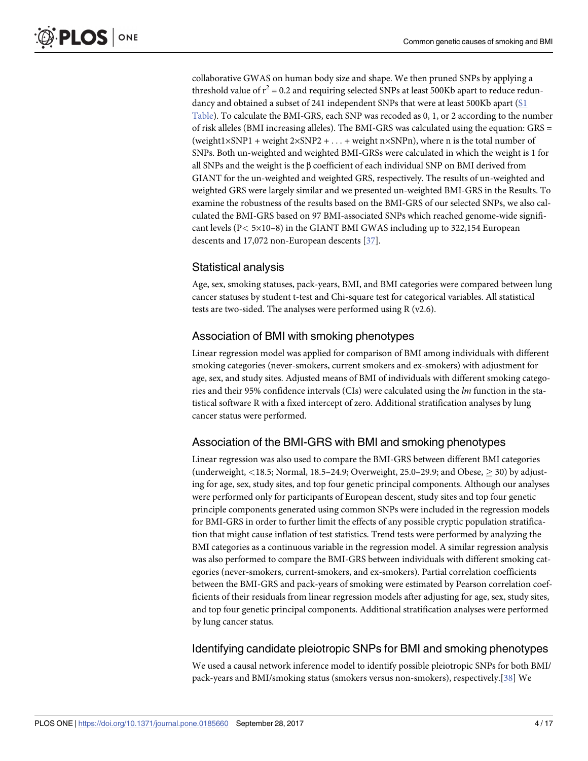<span id="page-3-0"></span>collaborative GWAS on human body size and shape. We then pruned SNPs by applying a threshold value of  $r^2 = 0.2$  and requiring selected SNPs at least 500Kb apart to reduce redundancy and obtained a subset of 241 independent SNPs that were at least 500Kb apart ([S1](#page-12-0) [Table](#page-12-0)). To calculate the BMI-GRS, each SNP was recoded as 0, 1, or 2 according to the number of risk alleles (BMI increasing alleles). The BMI-GRS was calculated using the equation: GRS = (weight1×SNP1 + weight  $2 \times$ SNP2 + ... + weight  $n \times$ SNPn), where n is the total number of SNPs. Both un-weighted and weighted BMI-GRSs were calculated in which the weight is 1 for all SNPs and the weight is the  $\beta$  coefficient of each individual SNP on BMI derived from GIANT for the un-weighted and weighted GRS, respectively. The results of un-weighted and weighted GRS were largely similar and we presented un-weighted BMI-GRS in the Results. To examine the robustness of the results based on the BMI-GRS of our selected SNPs, we also calculated the BMI-GRS based on 97 BMI-associated SNPs which reached genome-wide significant levels (P*<* 5×10–8) in the GIANT BMI GWAS including up to 322,154 European descents and 17,072 non-European descents [\[37\]](#page-15-0).

## Statistical analysis

Age, sex, smoking statuses, pack-years, BMI, and BMI categories were compared between lung cancer statuses by student t-test and Chi-square test for categorical variables. All statistical tests are two-sided. The analyses were performed using R (v2.6).

## Association of BMI with smoking phenotypes

Linear regression model was applied for comparison of BMI among individuals with different smoking categories (never-smokers, current smokers and ex-smokers) with adjustment for age, sex, and study sites. Adjusted means of BMI of individuals with different smoking categories and their 95% confidence intervals (CIs) were calculated using the *lm* function in the statistical software R with a fixed intercept of zero. Additional stratification analyses by lung cancer status were performed.

## Association of the BMI-GRS with BMI and smoking phenotypes

Linear regression was also used to compare the BMI-GRS between different BMI categories (underweight, *<*18.5; Normal, 18.5–24.9; Overweight, 25.0–29.9; and Obese, 30) by adjusting for age, sex, study sites, and top four genetic principal components. Although our analyses were performed only for participants of European descent, study sites and top four genetic principle components generated using common SNPs were included in the regression models for BMI-GRS in order to further limit the effects of any possible cryptic population stratification that might cause inflation of test statistics. Trend tests were performed by analyzing the BMI categories as a continuous variable in the regression model. A similar regression analysis was also performed to compare the BMI-GRS between individuals with different smoking categories (never-smokers, current-smokers, and ex-smokers). Partial correlation coefficients between the BMI-GRS and pack-years of smoking were estimated by Pearson correlation coefficients of their residuals from linear regression models after adjusting for age, sex, study sites, and top four genetic principal components. Additional stratification analyses were performed by lung cancer status.

#### Identifying candidate pleiotropic SNPs for BMI and smoking phenotypes

We used a causal network inference model to identify possible pleiotropic SNPs for both BMI/ pack-years and BMI/smoking status (smokers versus non-smokers), respectively.[[38](#page-15-0)] We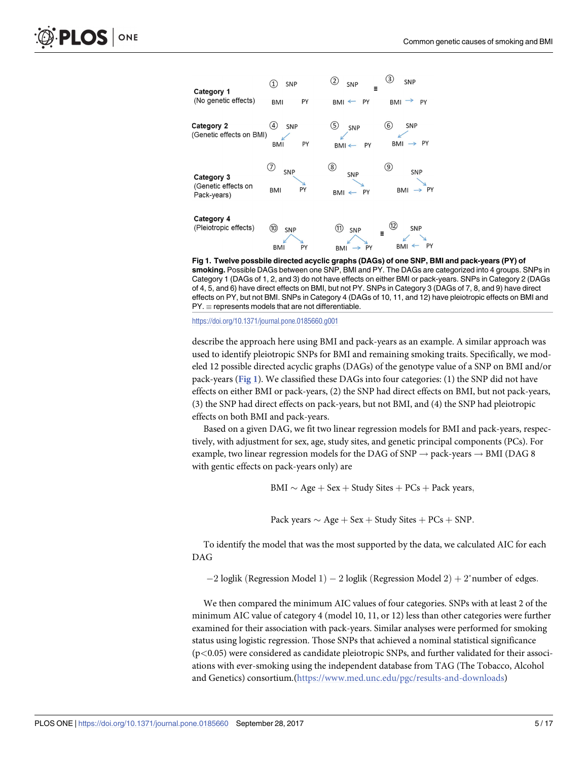<span id="page-4-0"></span>

**Fig 1. Twelve possbile directed acyclic graphs (DAGs) of one SNP, BMI and pack-years (PY) of smoking.** Possible DAGs between one SNP, BMI and PY. The DAGs are categorized into 4 groups. SNPs in Category 1 (DAGs of 1, 2, and 3) do not have effects on either BMI or pack-years. SNPs in Category 2 (DAGs of 4, 5, and 6) have direct effects on BMI, but not PY. SNPs in Category 3 (DAGs of 7, 8, and 9) have direct effects on PY, but not BMI. SNPs in Category 4 (DAGs of 10, 11, and 12) have pleiotropic effects on BMI and  $PY. \equiv$  represents models that are not differentiable.

describe the approach here using BMI and pack-years as an example. A similar approach was used to identify pleiotropic SNPs for BMI and remaining smoking traits. Specifically, we modeled 12 possible directed acyclic graphs (DAGs) of the genotype value of a SNP on BMI and/or pack-years (**Fig 1**). We classified these DAGs into four categories: (1) the SNP did not have effects on either BMI or pack-years, (2) the SNP had direct effects on BMI, but not pack-years, (3) the SNP had direct effects on pack-years, but not BMI, and (4) the SNP had pleiotropic effects on both BMI and pack-years.

Based on a given DAG, we fit two linear regression models for BMI and pack-years, respectively, with adjustment for sex, age, study sites, and genetic principal components (PCs). For example, two linear regression models for the DAG of SNP  $\rightarrow$  pack-years  $\rightarrow$  BMI (DAG 8) with gentic effects on pack-years only) are

 $BMI \sim Age + Sex + Study Sites + PCs + Pack years$ ;

Pack years  $\sim$  Age  $+$  Sex  $+$  Study Sites  $+$  PCs  $+$  SNP.

To identify the model that was the most supported by the data, we calculated AIC for each DAG

-2 loglik (Regression Model 1) - 2 loglik (Regression Model 2) + 2<sup>\*</sup>number of edges.

We then compared the minimum AIC values of four categories. SNPs with at least 2 of the minimum AIC value of category 4 (model 10, 11, or 12) less than other categories were further examined for their association with pack-years. Similar analyses were performed for smoking status using logistic regression. Those SNPs that achieved a nominal statistical significance (p*<*0.05) were considered as candidate pleiotropic SNPs, and further validated for their associations with ever-smoking using the independent database from TAG (The Tobacco, Alcohol and Genetics) consortium.[\(https://www.med.unc.edu/pgc/results-and-downloads](https://www.med.unc.edu/pgc/results-and-downloads))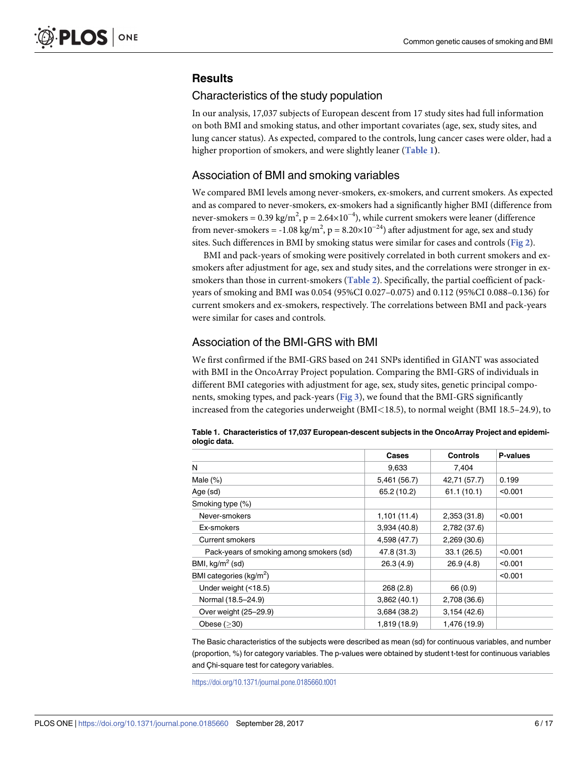## <span id="page-5-0"></span>**Results**

#### Characteristics of the study population

In our analysis, 17,037 subjects of European descent from 17 study sites had full information on both BMI and smoking status, and other important covariates (age, sex, study sites, and lung cancer status). As expected, compared to the controls, lung cancer cases were older, had a higher proportion of smokers, and were slightly leaner (**Table 1)**.

#### Association of BMI and smoking variables

We compared BMI levels among never-smokers, ex-smokers, and current smokers. As expected and as compared to never-smokers, ex-smokers had a significantly higher BMI (difference from never-smokers = 0.39 kg/m<sup>2</sup>, p = 2.64×10<sup>-4</sup>), while current smokers were leaner (difference from never-smokers = -1.08 kg/m<sup>2</sup>, p = 8.20×10<sup>-24</sup>) after adjustment for age, sex and study sites. Such differences in BMI by smoking status were similar for cases and controls (**[Fig](#page-6-0) 2**).

BMI and pack-years of smoking were positively correlated in both current smokers and exsmokers after adjustment for age, sex and study sites, and the correlations were stronger in exsmokers than those in current-smokers (**[Table](#page-6-0) 2**). Specifically, the partial coefficient of packyears of smoking and BMI was 0.054 (95%CI 0.027–0.075) and 0.112 (95%CI 0.088–0.136) for current smokers and ex-smokers, respectively. The correlations between BMI and pack-years were similar for cases and controls.

## Association of the BMI-GRS with BMI

We first confirmed if the BMI-GRS based on 241 SNPs identified in GIANT was associated with BMI in the OncoArray Project population. Comparing the BMI-GRS of individuals in different BMI categories with adjustment for age, sex, study sites, genetic principal components, smoking types, and pack-years (**[Fig](#page-7-0) 3**), we found that the BMI-GRS significantly increased from the categories underweight (BMI*<*18.5), to normal weight (BMI 18.5–24.9), to

|                                          | Cases        | <b>Controls</b> | <b>P-values</b> |
|------------------------------------------|--------------|-----------------|-----------------|
| Ν                                        | 9,633        | 7,404           |                 |
| Male $(\%)$                              | 5,461 (56.7) | 42,71 (57.7)    | 0.199           |
| Age (sd)                                 | 65.2 (10.2)  | 61.1(10.1)      | < 0.001         |
| Smoking type (%)                         |              |                 |                 |
| Never-smokers                            | 1,101(11.4)  | 2,353 (31.8)    | < 0.001         |
| Ex-smokers                               | 3,934(40.8)  | 2,782 (37.6)    |                 |
| <b>Current smokers</b>                   | 4,598 (47.7) | 2,269(30.6)     |                 |
| Pack-years of smoking among smokers (sd) | 47.8 (31.3)  | 33.1(26.5)      | < 0.001         |
| BMI, $kg/m2$ (sd)                        | 26.3(4.9)    | 26.9(4.8)       | < 0.001         |
| BMI categories (kg/m <sup>2</sup> )      |              |                 | < 0.001         |
| Under weight (<18.5)                     | 268(2.8)     | 66 (0.9)        |                 |
| Normal (18.5-24.9)                       | 3,862(40.1)  | 2,708 (36.6)    |                 |
| Over weight (25-29.9)                    | 3,684 (38.2) | 3,154(42.6)     |                 |
| Obese $($ >30)                           | 1,819 (18.9) | 1,476 (19.9)    |                 |

**Table 1. Characteristics of 17,037 European-descent subjects in the OncoArray Project and epidemiologic data.**

The Basic characteristics of the subjects were described as mean (sd) for continuous variables, and number (proportion, %) for category variables. The p-values were obtained by student t-test for continuous variables and Çhi-square test for category variables.

<https://doi.org/10.1371/journal.pone.0185660.t001>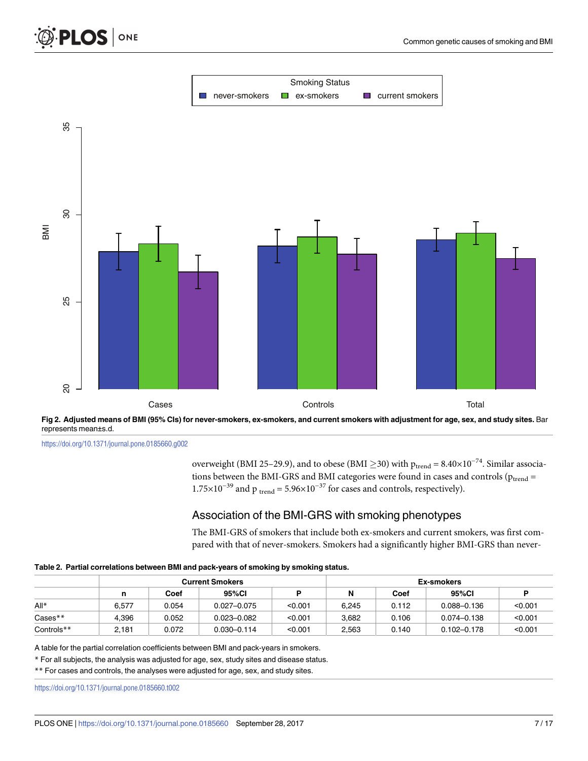<span id="page-6-0"></span>

[Fig](#page-5-0) 2. Adjusted means of BMI (95% CIs) for never-smokers, ex-smokers, and current smokers with adjustment for age, sex, and study sites. Bar represents mean±s.d.

ONE

**PLOS** I

overweight (BMI 25–29.9), and to obese (BMI  $\geq$ 30) with p<sub>trend</sub> = 8.40×10<sup>-74</sup>. Similar associations between the BMI-GRS and BMI categories were found in cases and controls ( $p_{\text{trend}}$  =  $1.75\times10^{-39}$  and p <sub>trend</sub> = 5.96×10<sup>-37</sup> for cases and controls, respectively).

## Association of the BMI-GRS with smoking phenotypes

The BMI-GRS of smokers that include both ex-smokers and current smokers, was first compared with that of never-smokers. Smokers had a significantly higher BMI-GRS than never-

| Table 2. Partial correlations between BMI and pack-years of smoking by smoking status. |  |  |  |  |  |  |
|----------------------------------------------------------------------------------------|--|--|--|--|--|--|
|----------------------------------------------------------------------------------------|--|--|--|--|--|--|

| <b>Current Smokers</b> |       |       |                 |         |       | Ex-smokers |                 |         |
|------------------------|-------|-------|-----------------|---------|-------|------------|-----------------|---------|
|                        |       | Coef  | 95%CI           | D       | N     | Coef       | 95%CI           |         |
| $All*$                 | 6.577 | 0.054 | $0.027 - 0.075$ | < 0.001 | 6,245 | 0.112      | $0.088 - 0.136$ | < 0.001 |
| Cases**                | 4.396 | 0.052 | $0.023 - 0.082$ | < 0.001 | 3,682 | 0.106      | $0.074 - 0.138$ | < 0.001 |
| Controls**             | 2.181 | 0.072 | $0.030 - 0.114$ | < 0.001 | 2,563 | 0.140      | $0.102 - 0.178$ | < 0.001 |

A table for the partial correlation coefficients between BMI and pack-years in smokers.

\* For all subjects, the analysis was adjusted for age, sex, study sites and disease status.

\*\* For cases and controls, the analyses were adjusted for age, sex, and study sites.

<https://doi.org/10.1371/journal.pone.0185660.t002>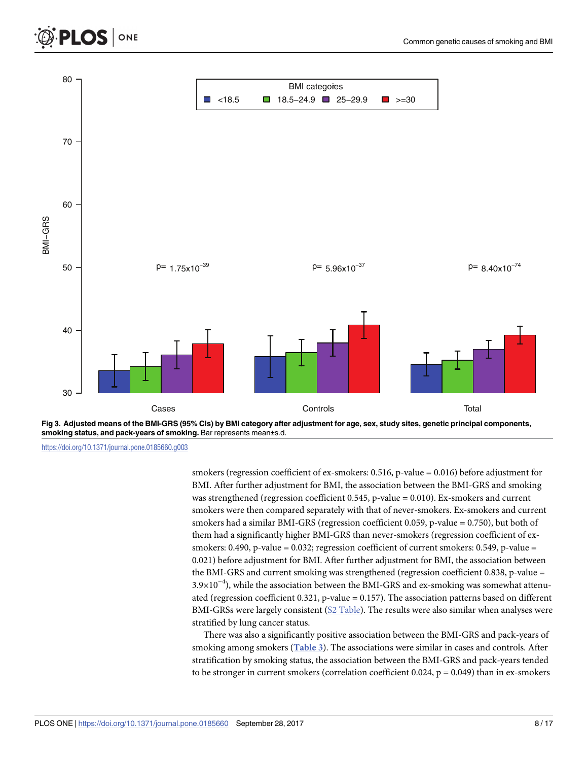<span id="page-7-0"></span>





smokers (regression coefficient of ex-smokers: 0.516, p-value = 0.016) before adjustment for BMI. After further adjustment for BMI, the association between the BMI-GRS and smoking was strengthened (regression coefficient 0.545, p-value = 0.010). Ex-smokers and current smokers were then compared separately with that of never-smokers. Ex-smokers and current smokers had a similar BMI-GRS (regression coefficient 0.059, p-value = 0.750), but both of them had a significantly higher BMI-GRS than never-smokers (regression coefficient of exsmokers: 0.490, p-value = 0.032; regression coefficient of current smokers: 0.549, p-value = 0.021) before adjustment for BMI. After further adjustment for BMI, the association between the BMI-GRS and current smoking was strengthened (regression coefficient 0.838, p-value = 3.9×10−<sup>4</sup> ), while the association between the BMI-GRS and ex-smoking was somewhat attenuated (regression coefficient 0.321, p-value = 0.157). The association patterns based on different BMI-GRSs were largely consistent (S2 [Table](#page-13-0)). The results were also similar when analyses were stratified by lung cancer status.

There was also a significantly positive association between the BMI-GRS and pack-years of smoking among smokers (**[Table](#page-8-0) 3**). The associations were similar in cases and controls. After stratification by smoking status, the association between the BMI-GRS and pack-years tended to be stronger in current smokers (correlation coefficient 0.024,  $p = 0.049$ ) than in ex-smokers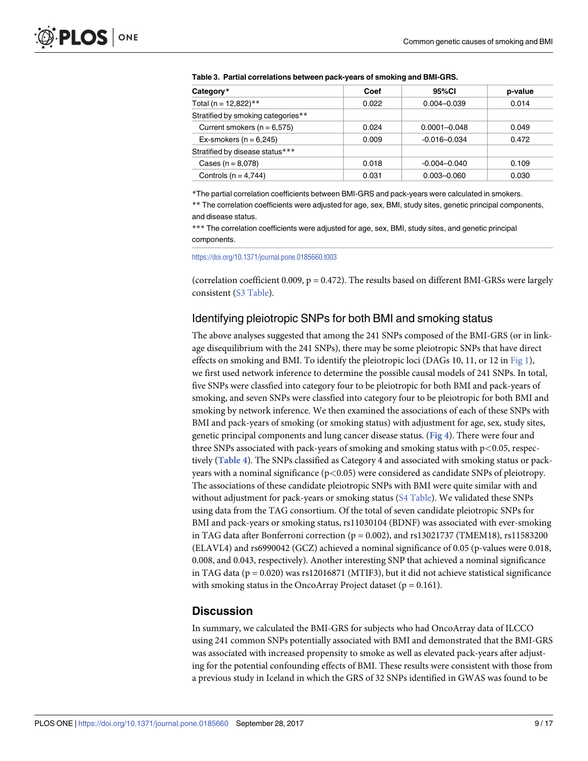| Category*                          | Coef  | 95%CI            | p-value |
|------------------------------------|-------|------------------|---------|
| Total (n = $12,822$ )**            | 0.022 | $0.004 - 0.039$  | 0.014   |
| Stratified by smoking categories** |       |                  |         |
| Current smokers ( $n = 6,575$ )    | 0.024 | $0.0001 - 0.048$ | 0.049   |
| Ex-smokers ( $n = 6,245$ )         | 0.009 | $-0.016 - 0.034$ | 0.472   |
| Stratified by disease status***    |       |                  |         |
| Cases ( $n = 8.078$ )              | 0.018 | $-0.004 - 0.040$ | 0.109   |
| Controls ( $n = 4,744$ )           | 0.031 | $0.003 - 0.060$  | 0.030   |

<span id="page-8-0"></span>**[Table](#page-7-0) 3. Partial correlations between pack-years of smoking and BMI-GRS.**

\*The partial correlation coefficients between BMI-GRS and pack-years were calculated in smokers.

\*\* The correlation coefficients were adjusted for age, sex, BMI, study sites, genetic principal components, and disease status.

\*\*\* The correlation coefficients were adjusted for age, sex, BMI, study sites, and genetic principal components.

<https://doi.org/10.1371/journal.pone.0185660.t003>

(correlation coefficient 0.009,  $p = 0.472$ ). The results based on different BMI-GRSs were largely consistent (S3 [Table\)](#page-13-0).

#### Identifying pleiotropic SNPs for both BMI and smoking status

The above analyses suggested that among the 241 SNPs composed of the BMI-GRS (or in linkage disequilibrium with the 241 SNPs), there may be some pleiotropic SNPs that have direct effects on smoking and BMI. To identify the pleiotropic loci (DAGs 10, 11, or 12 in [Fig](#page-4-0) 1), we first used network inference to determine the possible causal models of 241 SNPs. In total, five SNPs were classfied into category four to be pleiotropic for both BMI and pack-years of smoking, and seven SNPs were classfied into category four to be pleiotropic for both BMI and smoking by network inference. We then examined the associations of each of these SNPs with BMI and pack-years of smoking (or smoking status) with adjustment for age, sex, study sites, genetic principal components and lung cancer disease status. (**[Fig](#page-9-0) 4**). There were four and three SNPs associated with pack-years of smoking and smoking status with p*<*0.05, respectively (**[Table](#page-10-0) 4**). The SNPs classified as Category 4 and associated with smoking status or packyears with a nominal significance (p*<*0.05) were considered as candidate SNPs of pleiotropy. The associations of these candidate pleiotropic SNPs with BMI were quite similar with and without adjustment for pack-years or smoking status (S4 [Table](#page-13-0)). We validated these SNPs using data from the TAG consortium. Of the total of seven candidate pleiotropic SNPs for BMI and pack-years or smoking status, rs11030104 (BDNF) was associated with ever-smoking in TAG data after Bonferroni correction ( $p = 0.002$ ), and rs13021737 (TMEM18), rs11583200 (ELAVL4) and rs6990042 (GCZ) achieved a nominal significance of 0.05 (p-values were 0.018, 0.008, and 0.043, respectively). Another interesting SNP that achieved a nominal significance in TAG data ( $p = 0.020$ ) was rs12016871 (MTIF3), but it did not achieve statistical significance with smoking status in the OncoArray Project dataset ( $p = 0.161$ ).

#### **Discussion**

In summary, we calculated the BMI-GRS for subjects who had OncoArray data of ILCCO using 241 common SNPs potentially associated with BMI and demonstrated that the BMI-GRS was associated with increased propensity to smoke as well as elevated pack-years after adjusting for the potential confounding effects of BMI. These results were consistent with those from a previous study in Iceland in which the GRS of 32 SNPs identified in GWAS was found to be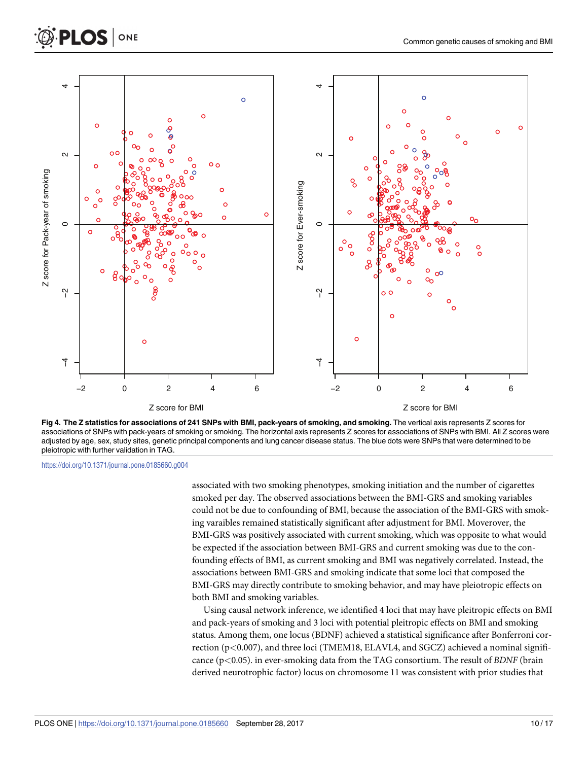



<span id="page-9-0"></span>**PLOS I** 

ONE

associated with two smoking phenotypes, smoking initiation and the number of cigarettes smoked per day. The observed associations between the BMI-GRS and smoking variables could not be due to confounding of BMI, because the association of the BMI-GRS with smoking varaibles remained statistically significant after adjustment for BMI. Moverover, the BMI-GRS was positively associated with current smoking, which was opposite to what would be expected if the association between BMI-GRS and current smoking was due to the confounding effects of BMI, as current smoking and BMI was negatively correlated. Instead, the associations between BMI-GRS and smoking indicate that some loci that composed the BMI-GRS may directly contribute to smoking behavior, and may have pleiotropic effects on both BMI and smoking variables.

Using causal network inference, we identified 4 loci that may have pleitropic effects on BMI and pack-years of smoking and 3 loci with potential pleitropic effects on BMI and smoking status. Among them, one locus (BDNF) achieved a statistical significance after Bonferroni correction (p*<*0.007), and three loci (TMEM18, ELAVL4, and SGCZ) achieved a nominal significance (p*<*0.05). in ever-smoking data from the TAG consortium. The result of *BDNF* (brain derived neurotrophic factor) locus on chromosome 11 was consistent with prior studies that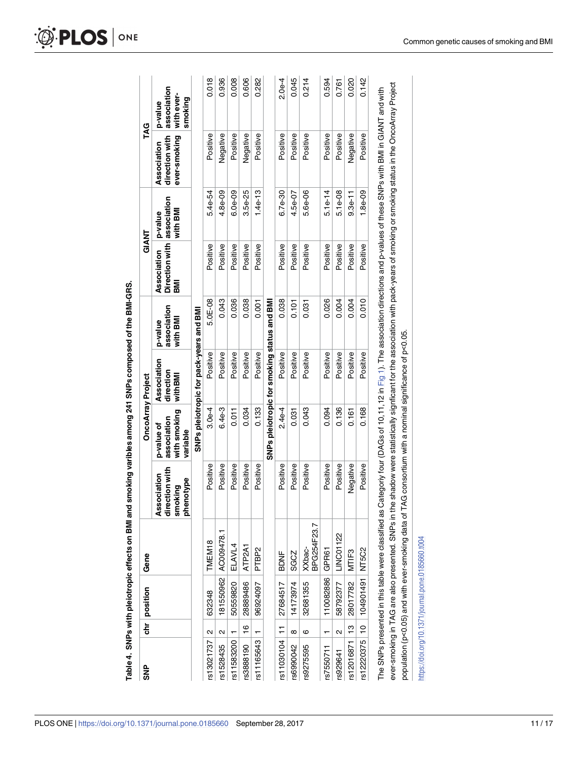<span id="page-10-0"></span>

| 오<br>이     |                   | chr position                        | Gene                            |                                                                                                                                                                                                                                                                                                                                                                        | <b>OncoArray Project</b>                              |                                             |                                    | <b>UNAIS</b>                       |                                    | <b>TAG</b>                                    |                                                 |
|------------|-------------------|-------------------------------------|---------------------------------|------------------------------------------------------------------------------------------------------------------------------------------------------------------------------------------------------------------------------------------------------------------------------------------------------------------------------------------------------------------------|-------------------------------------------------------|---------------------------------------------|------------------------------------|------------------------------------|------------------------------------|-----------------------------------------------|-------------------------------------------------|
|            |                   |                                     |                                 | direction with<br>Association<br>phenotype<br>smoking                                                                                                                                                                                                                                                                                                                  | with smoking<br>association<br>p-value of<br>variable | Association<br>direction<br>withBMI         | association<br>with BMI<br>p-value | Direction with<br>Association<br>ణ | association<br>with BMI<br>p-value | ever-smoking<br>direction with<br>Association | association<br>with ever-<br>smoking<br>p-value |
|            |                   |                                     |                                 |                                                                                                                                                                                                                                                                                                                                                                        |                                                       | SNPs pleiotropic for pack-years and BMI     |                                    |                                    |                                    |                                               |                                                 |
| rs13021737 | $\sim$            | 632348                              | TMEM18                          | Positive                                                                                                                                                                                                                                                                                                                                                               | $3.0e-4$                                              | Positive                                    | 5.0E-08                            | Positive                           | 5.4e-54                            | Positive                                      | 0.018                                           |
| rs1528435  | $\mathbf{\Omega}$ |                                     | 181550962 AC009478.1            | Positive                                                                                                                                                                                                                                                                                                                                                               | $6.4e-3$                                              | Positive                                    | 0.043                              | Positive                           | $4.8e - 09$                        | Negative                                      | 0.936                                           |
| rs11583200 |                   | 50559820                            | ELAVL4                          | Positive                                                                                                                                                                                                                                                                                                                                                               | 0.011                                                 | Positive                                    | 0.036                              | Positive                           | $6.0e-09$                          | Positive                                      | 0.008                                           |
| rs3888190  | $\frac{6}{1}$     | 28889486                            | ATP <sub>2</sub> A <sub>1</sub> | Positive                                                                                                                                                                                                                                                                                                                                                               | 0.034                                                 | Positive                                    | 0.038                              | Positive                           | $3.5e-25$                          | Negative                                      | 0.606                                           |
| rs11165643 |                   | 96924097                            | PTBP2                           | Positive                                                                                                                                                                                                                                                                                                                                                               | 0.133                                                 | Positive                                    | 0.001                              | Positive                           | $1.4e-13$                          | Positive                                      | 0.282                                           |
|            |                   |                                     |                                 |                                                                                                                                                                                                                                                                                                                                                                        |                                                       | SNPs pleiotropic for smoking status and BMI |                                    |                                    |                                    |                                               |                                                 |
| rs11030104 | F                 | 27684517                            | <b>BDNF</b>                     | Positive                                                                                                                                                                                                                                                                                                                                                               | $2.4e-4$                                              | Positive                                    | 0.038                              | Positive                           | $6.7e-30$                          | Positive                                      | $2.0e-4$                                        |
| rs6990042  | $\infty$          | 14173974                            | SGCZ                            | Positive                                                                                                                                                                                                                                                                                                                                                               | 0.031                                                 | Positive                                    | 0.101                              | Positive                           | $4.5e-07$                          | Positive                                      | 0.045                                           |
| rs9275595  | 6                 | 32681355                            | BPG254F23.7<br>XXbac-           | Positive                                                                                                                                                                                                                                                                                                                                                               | 0.043                                                 | Positive                                    | 0.031                              | Positive                           | 5.6e-06                            | Positive                                      | 0.214                                           |
| rs7550711  |                   | 110082886                           | GPR61                           | Positive                                                                                                                                                                                                                                                                                                                                                               | 0.094                                                 | Positive                                    | 0.026                              | Positive                           | $5.1e-14$                          | Positive                                      | 0.594                                           |
| rs929641   | $\mathbf{\Omega}$ | 58792377                            | LINC01122                       | Positive                                                                                                                                                                                                                                                                                                                                                               | 0.136                                                 | Positive                                    | 0.004                              | Positive                           | 5.1e-08                            | Positive                                      | 0.761                                           |
| rs12016871 | င်<br>၁           | 28017782                            | MTIF3                           | Negative                                                                                                                                                                                                                                                                                                                                                               | 0.161                                                 | Positive                                    | 0.004                              | Positive                           | $9.3e-11$                          | Negative                                      | 0.020                                           |
|            |                   | rs12220375   10   104901491   NT5C2 |                                 | Positive                                                                                                                                                                                                                                                                                                                                                               | 0.168                                                 | Positive                                    | 0.010                              | Positive                           | $1.8e-09$                          | Positive                                      | 0.142                                           |
|            |                   |                                     |                                 | ever-smoking in TAG are also presented. SNPs in the shadow were statistically signficant for the association with pack-years of smoking or smoking status in the OncoArray Project<br>The SNPs presented in this table were classified as Categoriy four (DAGs of 10,11,12 in Fig.1). The association directions and p-values of these SNPs with BMI in GIANT and with |                                                       |                                             |                                    |                                    |                                    |                                               |                                                 |

| <b>Contained</b> |
|------------------|
|                  |
|                  |
|                  |
|                  |
|                  |
|                  |
|                  |
|                  |
|                  |
|                  |
|                  |
|                  |
|                  |
|                  |
|                  |
|                  |
|                  |
|                  |
|                  |
|                  |
|                  |
|                  |
|                  |
|                  |
|                  |
|                  |
|                  |
|                  |
|                  |
| <br> <br> <br>   |
|                  |
|                  |
|                  |
|                  |

Table<sub>'</sub>

population (p<0.05) and with ever-smoking data of TAG consortium with a nominal significance of p<0.05. population (p<0.05) and with ever-smoking data of TAG consortium with a nominal significance of p<0.05.

> https://doi.org/10.1371/journal.pone.0185660.t004 <https://doi.org/10.1371/journal.pone.0185660.t004>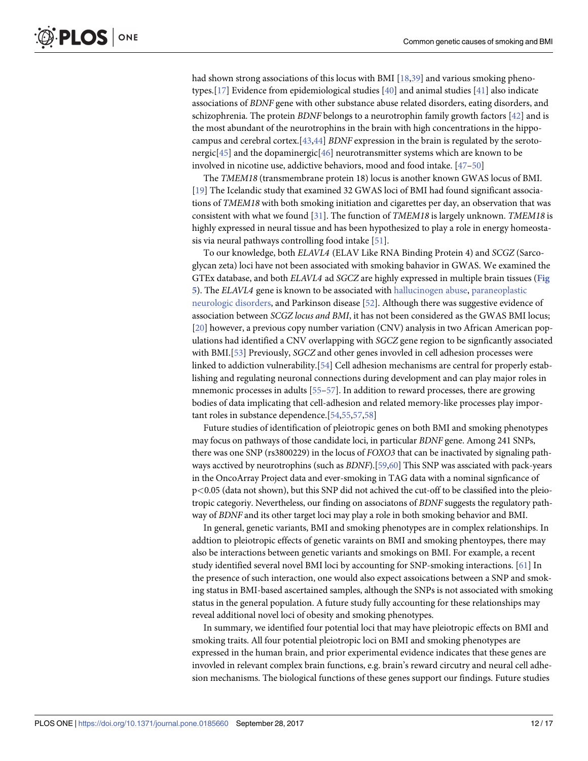<span id="page-11-0"></span>had shown strong associations of this locus with BMI [[18](#page-14-0)[,39\]](#page-15-0) and various smoking phenotypes.[\[17\]](#page-14-0) Evidence from epidemiological studies [[40](#page-15-0)] and animal studies [\[41\]](#page-15-0) also indicate associations of *BDNF* gene with other substance abuse related disorders, eating disorders, and schizophrenia. The protein *BDNF* belongs to a neurotrophin family growth factors [\[42\]](#page-15-0) and is the most abundant of the neurotrophins in the brain with high concentrations in the hippocampus and cerebral cortex.[\[43,44](#page-16-0)] *BDNF* expression in the brain is regulated by the serotonergic[\[45\]](#page-16-0) and the dopaminergic[[46](#page-16-0)] neurotransmitter systems which are known to be involved in nicotine use, addictive behaviors, mood and food intake. [\[47–50](#page-16-0)]

The *TMEM18* (transmembrane protein 18) locus is another known GWAS locus of BMI. [\[19\]](#page-14-0) The Icelandic study that examined 32 GWAS loci of BMI had found significant associations of *TMEM18* with both smoking initiation and cigarettes per day, an observation that was consistent with what we found [\[31\]](#page-15-0). The function of *TMEM18* is largely unknown. *TMEM18* is highly expressed in neural tissue and has been hypothesized to play a role in energy homeostasis via neural pathways controlling food intake [\[51\]](#page-16-0).

To our knowledge, both *ELAVL4* (ELAV Like RNA Binding Protein 4) and *SCGZ* (Sarcoglycan zeta) loci have not been associated with smoking bahavior in GWAS. We examined the GTEx database, and both *ELAVL4* ad *SGCZ* are highly expressed in multiple brain tissues (**[Fig](#page-12-0) [5](#page-12-0)**). The *ELAVL4* gene is known to be associated with [hallucinogen](http://www.malacards.org/card/hallucinogen_abuse) abuse, [paraneoplastic](http://www.malacards.org/card/paraneoplastic_neurologic_disorders) [neurologic](http://www.malacards.org/card/paraneoplastic_neurologic_disorders) disorders, and Parkinson disease [[52](#page-16-0)]. Although there was suggestive evidence of association between *SCGZ locus and BMI*, it has not been considered as the GWAS BMI locus; [\[20\]](#page-14-0) however, a previous copy number variation (CNV) analysis in two African American populations had identified a CNV overlapping with *SGCZ* gene region to be signficantly associated with BMI.[[53](#page-16-0)] Previously, *SGCZ* and other genes invovled in cell adhesion processes were linked to addiction vulnerability.[[54](#page-16-0)] Cell adhesion mechanisms are central for properly establishing and regulating neuronal connections during development and can play major roles in mnemonic processes in adults [\[55–57\]](#page-16-0). In addition to reward processes, there are growing bodies of data implicating that cell-adhesion and related memory-like processes play important roles in substance dependence.[\[54,55](#page-16-0),[57](#page-16-0),[58](#page-16-0)]

Future studies of identification of pleiotropic genes on both BMI and smoking phenotypes may focus on pathways of those candidate loci, in particular *BDNF* gene. Among 241 SNPs, there was one SNP (rs3800229) in the locus of *FOXO3* that can be inactivated by signaling pathways acctived by neurotrophins (such as *BDNF*).[[59,60\]](#page-16-0) This SNP was assciated with pack-years in the OncoArray Project data and ever-smoking in TAG data with a nominal signficance of p*<*0.05 (data not shown), but this SNP did not achived the cut-off to be classified into the pleiotropic categoriy. Nevertheless, our finding on associatons of *BDNF* suggests the regulatory pathway of *BDNF* and its other target loci may play a role in both smoking behavior and BMI.

In general, genetic variants, BMI and smoking phenotypes are in complex relationships. In addtion to pleiotropic effects of genetic varaints on BMI and smoking phentoypes, there may also be interactions between genetic variants and smokings on BMI. For example, a recent study identified several novel BMI loci by accounting for SNP-smoking interactions. [[61\]](#page-16-0) In the presence of such interaction, one would also expect assoications between a SNP and smoking status in BMI-based ascertained samples, although the SNPs is not associated with smoking status in the general population. A future study fully accounting for these relationships may reveal additional novel loci of obesity and smoking phenotypes.

In summary, we identified four potential loci that may have pleiotropic effects on BMI and smoking traits. All four potential pleiotropic loci on BMI and smoking phenotypes are expressed in the human brain, and prior experimental evidence indicates that these genes are invovled in relevant complex brain functions, e.g. brain's reward circutry and neural cell adhesion mechanisms. The biological functions of these genes support our findings. Future studies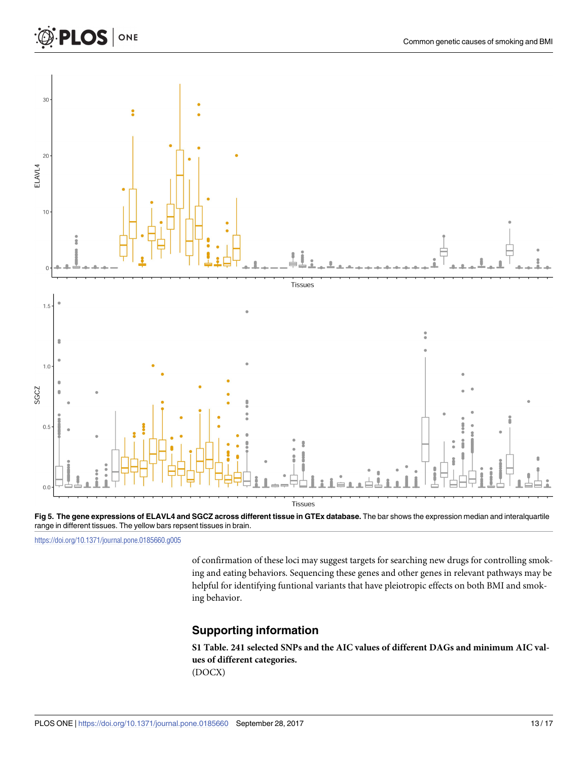



ONE

<span id="page-12-0"></span>**PLOS** 

of confirmation of these loci may suggest targets for searching new drugs for controlling smoking and eating behaviors. Sequencing these genes and other genes in relevant pathways may be helpful for identifying funtional variants that have pleiotropic effects on both BMI and smoking behavior.

## **Supporting information**

**S1 [Table.](http://www.plosone.org/article/fetchSingleRepresentation.action?uri=info:doi/10.1371/journal.pone.0185660.s001) 241 selected SNPs and the AIC values of different DAGs and minimum AIC values of different categories.** (DOCX)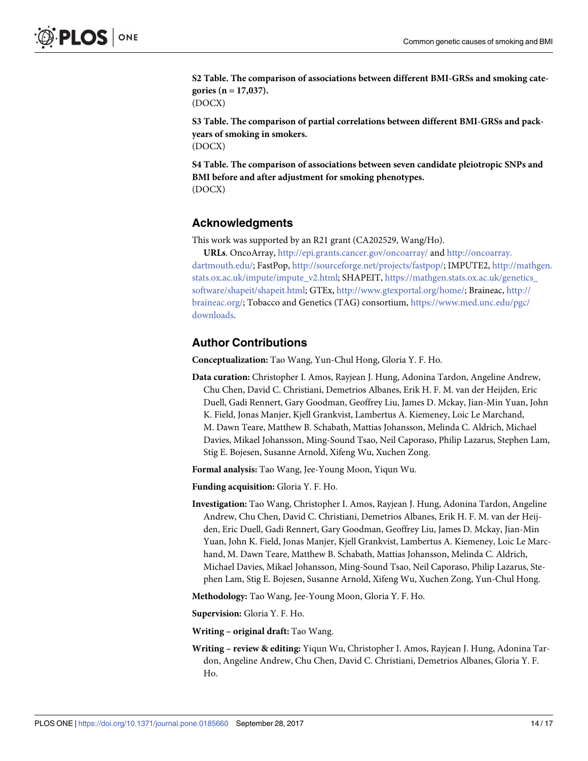<span id="page-13-0"></span>**S2 [Table.](http://www.plosone.org/article/fetchSingleRepresentation.action?uri=info:doi/10.1371/journal.pone.0185660.s002) The comparison of associations between different BMI-GRSs and smoking categories (n = 17,037).**

(DOCX)

**S3 [Table.](http://www.plosone.org/article/fetchSingleRepresentation.action?uri=info:doi/10.1371/journal.pone.0185660.s003) The comparison of partial correlations between different BMI-GRSs and packyears of smoking in smokers.** (DOCX)

**S4 [Table.](http://www.plosone.org/article/fetchSingleRepresentation.action?uri=info:doi/10.1371/journal.pone.0185660.s004) The comparison of associations between seven candidate pleiotropic SNPs and BMI before and after adjustment for smoking phenotypes.** (DOCX)

#### **Acknowledgments**

This work was supported by an R21 grant (CA202529, Wang/Ho).

**URLs**. OncoArray, <http://epi.grants.cancer.gov/oncoarray/> and [http://oncoarray.](http://oncoarray.dartmouth.edu/) [dartmouth.edu/](http://oncoarray.dartmouth.edu/); FastPop, [http://sourceforge.net/projects/fastpop/;](http://sourceforge.net/projects/fastpop/) IMPUTE2, [http://mathgen.](http://mathgen.stats.ox.ac.uk/impute/impute_v2.html) [stats.ox.ac.uk/impute/impute\\_v2.html;](http://mathgen.stats.ox.ac.uk/impute/impute_v2.html) SHAPEIT, [https://mathgen.stats.ox.ac.uk/genetics\\_](https://mathgen.stats.ox.ac.uk/genetics_software/shapeit/shapeit.html) [software/shapeit/shapeit.html;](https://mathgen.stats.ox.ac.uk/genetics_software/shapeit/shapeit.html) GTEx, [http://www.gtexportal.org/home/;](http://www.gtexportal.org/home/) Braineac, [http://](http://braineac.org/) [braineac.org/;](http://braineac.org/) Tobacco and Genetics (TAG) consortium, [https://www.med.unc.edu/pgc/](https://www.med.unc.edu/pgc/downloads) [downloads](https://www.med.unc.edu/pgc/downloads).

### **Author Contributions**

**Conceptualization:** Tao Wang, Yun-Chul Hong, Gloria Y. F. Ho.

**Data curation:** Christopher I. Amos, Rayjean J. Hung, Adonina Tardon, Angeline Andrew, Chu Chen, David C. Christiani, Demetrios Albanes, Erik H. F. M. van der Heijden, Eric Duell, Gadi Rennert, Gary Goodman, Geoffrey Liu, James D. Mckay, Jian-Min Yuan, John K. Field, Jonas Manjer, Kjell Grankvist, Lambertus A. Kiemeney, Loic Le Marchand, M. Dawn Teare, Matthew B. Schabath, Mattias Johansson, Melinda C. Aldrich, Michael Davies, Mikael Johansson, Ming-Sound Tsao, Neil Caporaso, Philip Lazarus, Stephen Lam, Stig E. Bojesen, Susanne Arnold, Xifeng Wu, Xuchen Zong.

**Formal analysis:** Tao Wang, Jee-Young Moon, Yiqun Wu.

**Funding acquisition:** Gloria Y. F. Ho.

**Investigation:** Tao Wang, Christopher I. Amos, Rayjean J. Hung, Adonina Tardon, Angeline Andrew, Chu Chen, David C. Christiani, Demetrios Albanes, Erik H. F. M. van der Heijden, Eric Duell, Gadi Rennert, Gary Goodman, Geoffrey Liu, James D. Mckay, Jian-Min Yuan, John K. Field, Jonas Manjer, Kjell Grankvist, Lambertus A. Kiemeney, Loic Le Marchand, M. Dawn Teare, Matthew B. Schabath, Mattias Johansson, Melinda C. Aldrich, Michael Davies, Mikael Johansson, Ming-Sound Tsao, Neil Caporaso, Philip Lazarus, Stephen Lam, Stig E. Bojesen, Susanne Arnold, Xifeng Wu, Xuchen Zong, Yun-Chul Hong.

**Methodology:** Tao Wang, Jee-Young Moon, Gloria Y. F. Ho.

**Supervision:** Gloria Y. F. Ho.

**Writing – original draft:** Tao Wang.

**Writing – review & editing:** Yiqun Wu, Christopher I. Amos, Rayjean J. Hung, Adonina Tardon, Angeline Andrew, Chu Chen, David C. Christiani, Demetrios Albanes, Gloria Y. F. Ho.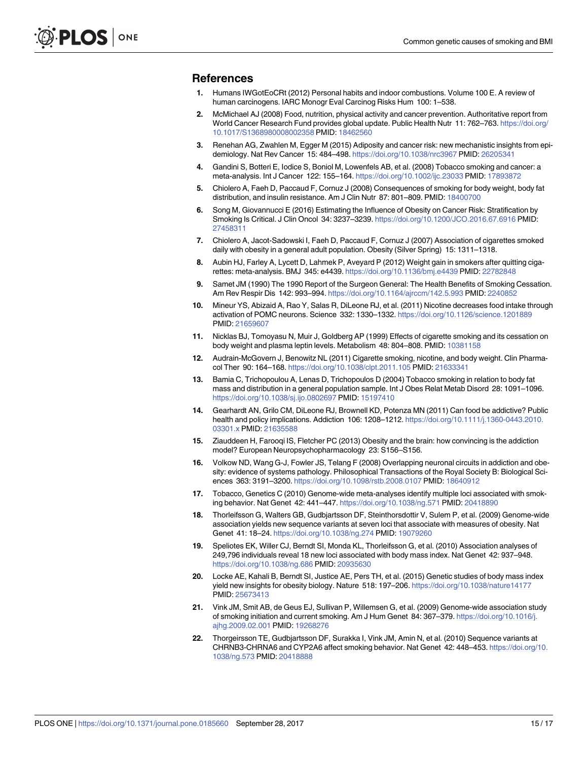#### <span id="page-14-0"></span>**References**

- **[1](#page-1-0).** Humans IWGotEoCRt (2012) Personal habits and indoor combustions. Volume 100 E. A review of human carcinogens. IARC Monogr Eval Carcinog Risks Hum 100: 1–538.
- **2.** McMichael AJ (2008) Food, nutrition, physical activity and cancer prevention. Authoritative report from World Cancer Research Fund provides global update. Public Health Nutr 11: 762–763. [https://doi.org/](https://doi.org/10.1017/S1368980008002358) [10.1017/S1368980008002358](https://doi.org/10.1017/S1368980008002358) PMID: [18462560](http://www.ncbi.nlm.nih.gov/pubmed/18462560)
- **3.** Renehan AG, Zwahlen M, Egger M (2015) Adiposity and cancer risk: new mechanistic insights from epidemiology. Nat Rev Cancer 15: 484–498. <https://doi.org/10.1038/nrc3967> PMID: [26205341](http://www.ncbi.nlm.nih.gov/pubmed/26205341)
- **[4](#page-1-0).** Gandini S, Botteri E, Iodice S, Boniol M, Lowenfels AB, et al. (2008) Tobacco smoking and cancer: a meta-analysis. Int J Cancer 122: 155–164. <https://doi.org/10.1002/ijc.23033> PMID: [17893872](http://www.ncbi.nlm.nih.gov/pubmed/17893872)
- **[5](#page-1-0).** Chiolero A, Faeh D, Paccaud F, Cornuz J (2008) Consequences of smoking for body weight, body fat distribution, and insulin resistance. Am J Clin Nutr 87: 801–809. PMID: [18400700](http://www.ncbi.nlm.nih.gov/pubmed/18400700)
- **[6](#page-1-0).** Song M, Giovannucci E (2016) Estimating the Influence of Obesity on Cancer Risk: Stratification by Smoking Is Critical. J Clin Oncol 34: 3237–3239. <https://doi.org/10.1200/JCO.2016.67.6916> PMID: [27458311](http://www.ncbi.nlm.nih.gov/pubmed/27458311)
- **[7](#page-1-0).** Chiolero A, Jacot-Sadowski I, Faeh D, Paccaud F, Cornuz J (2007) Association of cigarettes smoked daily with obesity in a general adult population. Obesity (Silver Spring) 15: 1311–1318.
- **8.** Aubin HJ, Farley A, Lycett D, Lahmek P, Aveyard P (2012) Weight gain in smokers after quitting cigarettes: meta-analysis. BMJ 345: e4439. <https://doi.org/10.1136/bmj.e4439> PMID: [22782848](http://www.ncbi.nlm.nih.gov/pubmed/22782848)
- **[9](#page-1-0).** Samet JM (1990) The 1990 Report of the Surgeon General: The Health Benefits of Smoking Cessation. Am Rev Respir Dis 142: 993–994. <https://doi.org/10.1164/ajrccm/142.5.993> PMID: [2240852](http://www.ncbi.nlm.nih.gov/pubmed/2240852)
- **[10](#page-1-0).** Mineur YS, Abizaid A, Rao Y, Salas R, DiLeone RJ, et al. (2011) Nicotine decreases food intake through activation of POMC neurons. Science 332: 1330–1332. <https://doi.org/10.1126/science.1201889> PMID: [21659607](http://www.ncbi.nlm.nih.gov/pubmed/21659607)
- **[11](#page-1-0).** Nicklas BJ, Tomoyasu N, Muir J, Goldberg AP (1999) Effects of cigarette smoking and its cessation on body weight and plasma leptin levels. Metabolism 48: 804–808. PMID: [10381158](http://www.ncbi.nlm.nih.gov/pubmed/10381158)
- **[12](#page-1-0).** Audrain-McGovern J, Benowitz NL (2011) Cigarette smoking, nicotine, and body weight. Clin Pharmacol Ther 90: 164–168. <https://doi.org/10.1038/clpt.2011.105> PMID: [21633341](http://www.ncbi.nlm.nih.gov/pubmed/21633341)
- **[13](#page-1-0).** Bamia C, Trichopoulou A, Lenas D, Trichopoulos D (2004) Tobacco smoking in relation to body fat mass and distribution in a general population sample. Int J Obes Relat Metab Disord 28: 1091–1096. <https://doi.org/10.1038/sj.ijo.0802697> PMID: [15197410](http://www.ncbi.nlm.nih.gov/pubmed/15197410)
- **[14](#page-1-0).** Gearhardt AN, Grilo CM, DiLeone RJ, Brownell KD, Potenza MN (2011) Can food be addictive? Public health and policy implications. Addiction 106: 1208–1212. [https://doi.org/10.1111/j.1360-0443.2010.](https://doi.org/10.1111/j.1360-0443.2010.03301.x) [03301.x](https://doi.org/10.1111/j.1360-0443.2010.03301.x) PMID: [21635588](http://www.ncbi.nlm.nih.gov/pubmed/21635588)
- **[15](#page-1-0).** Ziauddeen H, Farooqi IS, Fletcher PC (2013) Obesity and the brain: how convincing is the addiction model? European Neuropsychopharmacology 23: S156–S156.
- **[16](#page-1-0).** Volkow ND, Wang G-J, Fowler JS, Telang F (2008) Overlapping neuronal circuits in addiction and obesity: evidence of systems pathology. Philosophical Transactions of the Royal Society B: Biological Sciences 363: 3191–3200. <https://doi.org/10.1098/rstb.2008.0107> PMID: [18640912](http://www.ncbi.nlm.nih.gov/pubmed/18640912)
- **[17](#page-1-0).** Tobacco, Genetics C (2010) Genome-wide meta-analyses identify multiple loci associated with smoking behavior. Nat Genet 42: 441–447. <https://doi.org/10.1038/ng.571> PMID: [20418890](http://www.ncbi.nlm.nih.gov/pubmed/20418890)
- **[18](#page-11-0).** Thorleifsson G, Walters GB, Gudbjartsson DF, Steinthorsdottir V, Sulem P, et al. (2009) Genome-wide association yields new sequence variants at seven loci that associate with measures of obesity. Nat Genet 41: 18–24. <https://doi.org/10.1038/ng.274> PMID: [19079260](http://www.ncbi.nlm.nih.gov/pubmed/19079260)
- **[19](#page-11-0).** Speliotes EK, Willer CJ, Berndt SI, Monda KL, Thorleifsson G, et al. (2010) Association analyses of 249,796 individuals reveal 18 new loci associated with body mass index. Nat Genet 42: 937–948. <https://doi.org/10.1038/ng.686> PMID: [20935630](http://www.ncbi.nlm.nih.gov/pubmed/20935630)
- **[20](#page-1-0).** Locke AE, Kahali B, Berndt SI, Justice AE, Pers TH, et al. (2015) Genetic studies of body mass index yield new insights for obesity biology. Nature 518: 197–206. <https://doi.org/10.1038/nature14177> PMID: [25673413](http://www.ncbi.nlm.nih.gov/pubmed/25673413)
- **21.** Vink JM, Smit AB, de Geus EJ, Sullivan P, Willemsen G, et al. (2009) Genome-wide association study of smoking initiation and current smoking. Am J Hum Genet 84: 367–379. [https://doi.org/10.1016/j.](https://doi.org/10.1016/j.ajhg.2009.02.001) [ajhg.2009.02.001](https://doi.org/10.1016/j.ajhg.2009.02.001) PMID: [19268276](http://www.ncbi.nlm.nih.gov/pubmed/19268276)
- **22.** Thorgeirsson TE, Gudbjartsson DF, Surakka I, Vink JM, Amin N, et al. (2010) Sequence variants at CHRNB3-CHRNA6 and CYP2A6 affect smoking behavior. Nat Genet 42: 448–453. [https://doi.org/10.](https://doi.org/10.1038/ng.573) [1038/ng.573](https://doi.org/10.1038/ng.573) PMID: [20418888](http://www.ncbi.nlm.nih.gov/pubmed/20418888)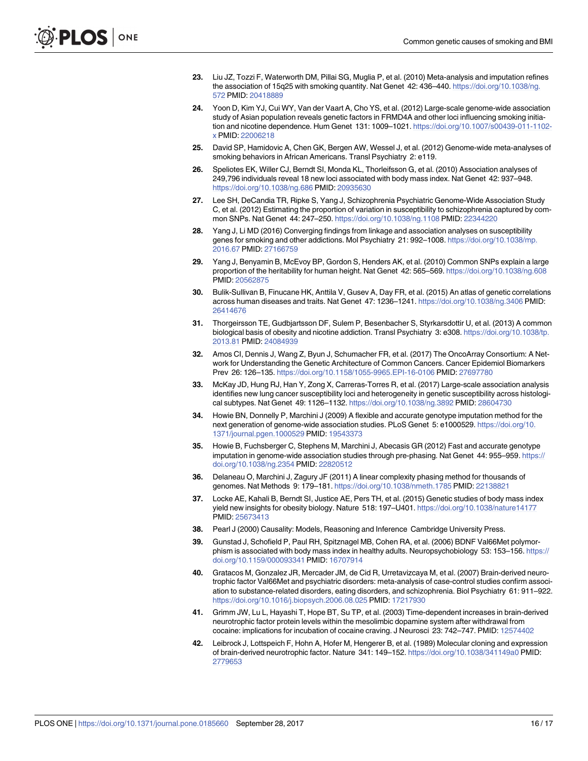- <span id="page-15-0"></span>**23.** Liu JZ, Tozzi F, Waterworth DM, Pillai SG, Muglia P, et al. (2010) Meta-analysis and imputation refines the association of 15q25 with smoking quantity. Nat Genet 42: 436–440. [https://doi.org/10.1038/ng.](https://doi.org/10.1038/ng.572) [572](https://doi.org/10.1038/ng.572) PMID: [20418889](http://www.ncbi.nlm.nih.gov/pubmed/20418889)
- **24.** Yoon D, Kim YJ, Cui WY, Van der Vaart A, Cho YS, et al. (2012) Large-scale genome-wide association study of Asian population reveals genetic factors in FRMD4A and other loci influencing smoking initiation and nicotine dependence. Hum Genet 131: 1009–1021. [https://doi.org/10.1007/s00439-011-1102](https://doi.org/10.1007/s00439-011-1102-x) [x](https://doi.org/10.1007/s00439-011-1102-x) PMID: [22006218](http://www.ncbi.nlm.nih.gov/pubmed/22006218)
- **[25](#page-1-0).** David SP, Hamidovic A, Chen GK, Bergen AW, Wessel J, et al. (2012) Genome-wide meta-analyses of smoking behaviors in African Americans. Transl Psychiatry 2: e119.
- **[26](#page-1-0).** Speliotes EK, Willer CJ, Berndt SI, Monda KL, Thorleifsson G, et al. (2010) Association analyses of 249,796 individuals reveal 18 new loci associated with body mass index. Nat Genet 42: 937–948. <https://doi.org/10.1038/ng.686> PMID: [20935630](http://www.ncbi.nlm.nih.gov/pubmed/20935630)
- **27.** Lee SH, DeCandia TR, Ripke S, Yang J, Schizophrenia Psychiatric Genome-Wide Association Study C, et al. (2012) Estimating the proportion of variation in susceptibility to schizophrenia captured by common SNPs. Nat Genet 44: 247–250. <https://doi.org/10.1038/ng.1108> PMID: [22344220](http://www.ncbi.nlm.nih.gov/pubmed/22344220)
- **28.** Yang J, Li MD (2016) Converging findings from linkage and association analyses on susceptibility genes for smoking and other addictions. Mol Psychiatry 21: 992–1008. [https://doi.org/10.1038/mp.](https://doi.org/10.1038/mp.2016.67) [2016.67](https://doi.org/10.1038/mp.2016.67) PMID: [27166759](http://www.ncbi.nlm.nih.gov/pubmed/27166759)
- **[29](#page-1-0).** Yang J, Benyamin B, McEvoy BP, Gordon S, Henders AK, et al. (2010) Common SNPs explain a large proportion of the heritability for human height. Nat Genet 42: 565–569. <https://doi.org/10.1038/ng.608> PMID: [20562875](http://www.ncbi.nlm.nih.gov/pubmed/20562875)
- **[30](#page-1-0).** Bulik-Sullivan B, Finucane HK, Anttila V, Gusev A, Day FR, et al. (2015) An atlas of genetic correlations across human diseases and traits. Nat Genet 47: 1236–1241. <https://doi.org/10.1038/ng.3406> PMID: [26414676](http://www.ncbi.nlm.nih.gov/pubmed/26414676)
- **[31](#page-2-0).** Thorgeirsson TE, Gudbjartsson DF, Sulem P, Besenbacher S, Styrkarsdottir U, et al. (2013) A common biological basis of obesity and nicotine addiction. Transl Psychiatry 3: e308. [https://doi.org/10.1038/tp.](https://doi.org/10.1038/tp.2013.81) [2013.81](https://doi.org/10.1038/tp.2013.81) PMID: [24084939](http://www.ncbi.nlm.nih.gov/pubmed/24084939)
- **[32](#page-2-0).** Amos CI, Dennis J, Wang Z, Byun J, Schumacher FR, et al. (2017) The OncoArray Consortium: A Network for Understanding the Genetic Architecture of Common Cancers. Cancer Epidemiol Biomarkers Prev 26: 126–135. <https://doi.org/10.1158/1055-9965.EPI-16-0106> PMID: [27697780](http://www.ncbi.nlm.nih.gov/pubmed/27697780)
- **[33](#page-2-0).** McKay JD, Hung RJ, Han Y, Zong X, Carreras-Torres R, et al. (2017) Large-scale association analysis identifies new lung cancer susceptibility loci and heterogeneity in genetic susceptibility across histological subtypes. Nat Genet 49: 1126–1132. <https://doi.org/10.1038/ng.3892> PMID: [28604730](http://www.ncbi.nlm.nih.gov/pubmed/28604730)
- **[34](#page-2-0).** Howie BN, Donnelly P, Marchini J (2009) A flexible and accurate genotype imputation method for the next generation of genome-wide association studies. PLoS Genet 5: e1000529. [https://doi.org/10.](https://doi.org/10.1371/journal.pgen.1000529) [1371/journal.pgen.1000529](https://doi.org/10.1371/journal.pgen.1000529) PMID: [19543373](http://www.ncbi.nlm.nih.gov/pubmed/19543373)
- **[35](#page-2-0).** Howie B, Fuchsberger C, Stephens M, Marchini J, Abecasis GR (2012) Fast and accurate genotype imputation in genome-wide association studies through pre-phasing. Nat Genet 44: 955–959. [https://](https://doi.org/10.1038/ng.2354) [doi.org/10.1038/ng.2354](https://doi.org/10.1038/ng.2354) PMID: [22820512](http://www.ncbi.nlm.nih.gov/pubmed/22820512)
- **[36](#page-2-0).** Delaneau O, Marchini J, Zagury JF (2011) A linear complexity phasing method for thousands of genomes. Nat Methods 9: 179–181. <https://doi.org/10.1038/nmeth.1785> PMID: [22138821](http://www.ncbi.nlm.nih.gov/pubmed/22138821)
- **[37](#page-3-0).** Locke AE, Kahali B, Berndt SI, Justice AE, Pers TH, et al. (2015) Genetic studies of body mass index yield new insights for obesity biology. Nature 518: 197–U401. <https://doi.org/10.1038/nature14177> PMID: [25673413](http://www.ncbi.nlm.nih.gov/pubmed/25673413)
- **[38](#page-3-0).** Pearl J (2000) Causality: Models, Reasoning and Inference Cambridge University Press.
- **[39](#page-11-0).** Gunstad J, Schofield P, Paul RH, Spitznagel MB, Cohen RA, et al. (2006) BDNF Val66Met polymorphism is associated with body mass index in healthy adults. Neuropsychobiology 53: 153–156. [https://](https://doi.org/10.1159/000093341) [doi.org/10.1159/000093341](https://doi.org/10.1159/000093341) PMID: [16707914](http://www.ncbi.nlm.nih.gov/pubmed/16707914)
- **[40](#page-11-0).** Gratacos M, Gonzalez JR, Mercader JM, de Cid R, Urretavizcaya M, et al. (2007) Brain-derived neurotrophic factor Val66Met and psychiatric disorders: meta-analysis of case-control studies confirm association to substance-related disorders, eating disorders, and schizophrenia. Biol Psychiatry 61: 911–922. <https://doi.org/10.1016/j.biopsych.2006.08.025> PMID: [17217930](http://www.ncbi.nlm.nih.gov/pubmed/17217930)
- **[41](#page-11-0).** Grimm JW, Lu L, Hayashi T, Hope BT, Su TP, et al. (2003) Time-dependent increases in brain-derived neurotrophic factor protein levels within the mesolimbic dopamine system after withdrawal from cocaine: implications for incubation of cocaine craving. J Neurosci 23: 742–747. PMID: [12574402](http://www.ncbi.nlm.nih.gov/pubmed/12574402)
- **[42](#page-11-0).** Leibrock J, Lottspeich F, Hohn A, Hofer M, Hengerer B, et al. (1989) Molecular cloning and expression of brain-derived neurotrophic factor. Nature 341: 149–152. <https://doi.org/10.1038/341149a0> PMID: [2779653](http://www.ncbi.nlm.nih.gov/pubmed/2779653)